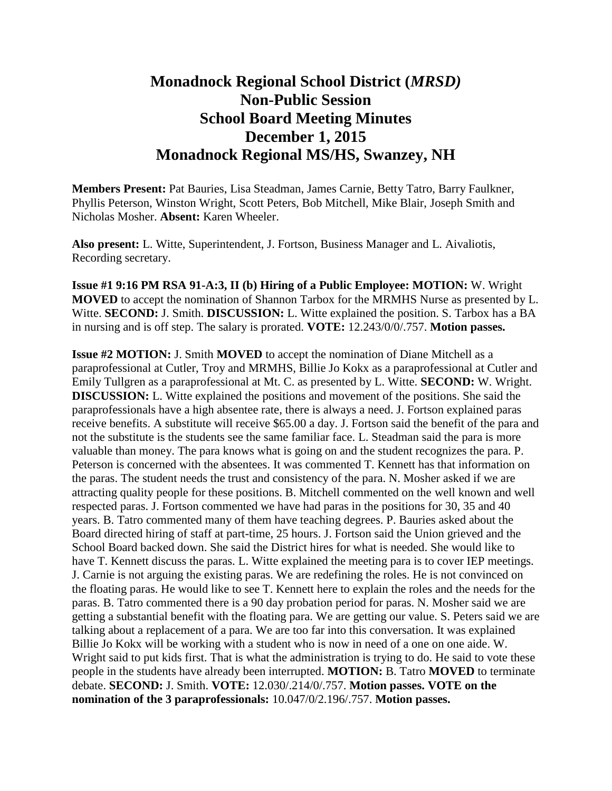## **Monadnock Regional School District (***MRSD)* **Non-Public Session School Board Meeting Minutes December 1, 2015 Monadnock Regional MS/HS, Swanzey, NH**

**Members Present:** Pat Bauries, Lisa Steadman, James Carnie, Betty Tatro, Barry Faulkner, Phyllis Peterson, Winston Wright, Scott Peters, Bob Mitchell, Mike Blair, Joseph Smith and Nicholas Mosher. **Absent:** Karen Wheeler.

**Also present:** L. Witte, Superintendent, J. Fortson, Business Manager and L. Aivaliotis, Recording secretary.

**Issue #1 9:16 PM RSA 91-A:3, II (b) Hiring of a Public Employee: MOTION:** W. Wright **MOVED** to accept the nomination of Shannon Tarbox for the MRMHS Nurse as presented by L. Witte. **SECOND:** J. Smith. **DISCUSSION:** L. Witte explained the position. S. Tarbox has a BA in nursing and is off step. The salary is prorated. **VOTE:** 12.243/0/0/.757. **Motion passes.** 

**Issue #2 MOTION:** J. Smith **MOVED** to accept the nomination of Diane Mitchell as a paraprofessional at Cutler, Troy and MRMHS, Billie Jo Kokx as a paraprofessional at Cutler and Emily Tullgren as a paraprofessional at Mt. C. as presented by L. Witte. **SECOND:** W. Wright. **DISCUSSION:** L. Witte explained the positions and movement of the positions. She said the paraprofessionals have a high absentee rate, there is always a need. J. Fortson explained paras receive benefits. A substitute will receive \$65.00 a day. J. Fortson said the benefit of the para and not the substitute is the students see the same familiar face. L. Steadman said the para is more valuable than money. The para knows what is going on and the student recognizes the para. P. Peterson is concerned with the absentees. It was commented T. Kennett has that information on the paras. The student needs the trust and consistency of the para. N. Mosher asked if we are attracting quality people for these positions. B. Mitchell commented on the well known and well respected paras. J. Fortson commented we have had paras in the positions for 30, 35 and 40 years. B. Tatro commented many of them have teaching degrees. P. Bauries asked about the Board directed hiring of staff at part-time, 25 hours. J. Fortson said the Union grieved and the School Board backed down. She said the District hires for what is needed. She would like to have T. Kennett discuss the paras. L. Witte explained the meeting para is to cover IEP meetings. J. Carnie is not arguing the existing paras. We are redefining the roles. He is not convinced on the floating paras. He would like to see T. Kennett here to explain the roles and the needs for the paras. B. Tatro commented there is a 90 day probation period for paras. N. Mosher said we are getting a substantial benefit with the floating para. We are getting our value. S. Peters said we are talking about a replacement of a para. We are too far into this conversation. It was explained Billie Jo Kokx will be working with a student who is now in need of a one on one aide. W. Wright said to put kids first. That is what the administration is trying to do. He said to vote these people in the students have already been interrupted. **MOTION:** B. Tatro **MOVED** to terminate debate. **SECOND:** J. Smith. **VOTE:** 12.030/.214/0/.757. **Motion passes. VOTE on the nomination of the 3 paraprofessionals:** 10.047/0/2.196/.757. **Motion passes.**